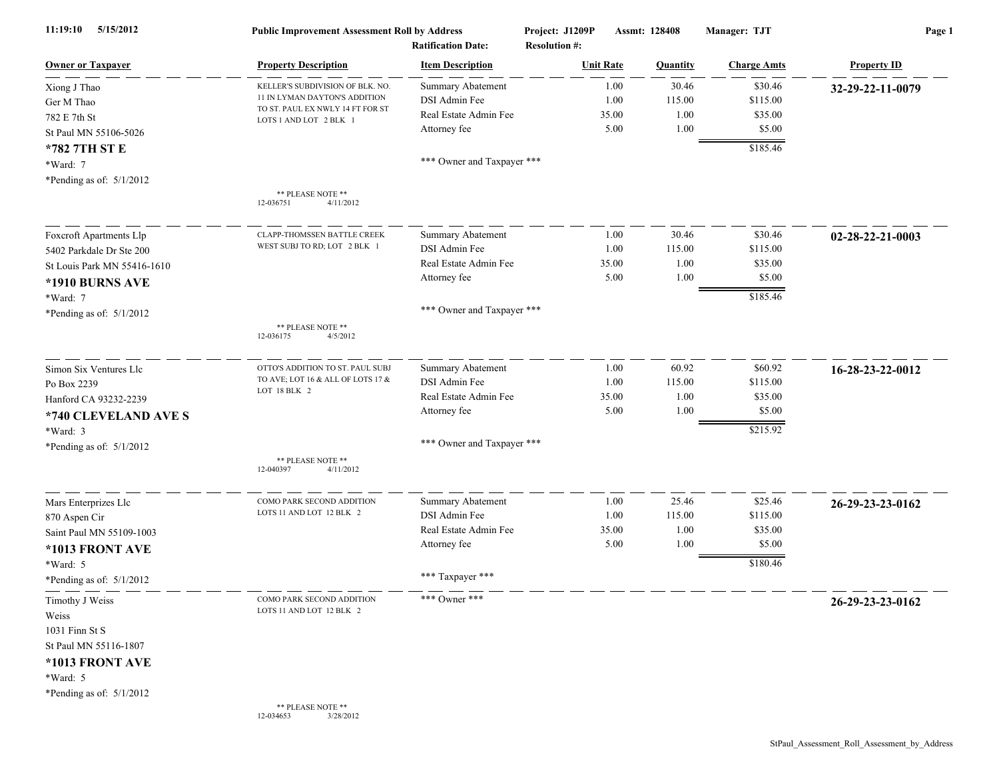| 5/15/2012<br>11:19:10       | <b>Public Improvement Assessment Roll by Address</b><br><b>Ratification Date:</b> |                            | Assmt: 128408<br>Project: J1209P<br><b>Resolution #:</b> |                  |          | Manager: TJT       | Page 1             |  |
|-----------------------------|-----------------------------------------------------------------------------------|----------------------------|----------------------------------------------------------|------------------|----------|--------------------|--------------------|--|
| <b>Owner or Taxpayer</b>    | <b>Property Description</b>                                                       | <b>Item Description</b>    |                                                          | <b>Unit Rate</b> | Quantity | <b>Charge Amts</b> | <b>Property ID</b> |  |
| Xiong J Thao                | KELLER'S SUBDIVISION OF BLK. NO.                                                  | Summary Abatement          |                                                          | 1.00             | 30.46    | \$30.46            | 32-29-22-11-0079   |  |
| Ger M Thao                  | 11 IN LYMAN DAYTON'S ADDITION                                                     | DSI Admin Fee              |                                                          | 1.00             | 115.00   | \$115.00           |                    |  |
| 782 E 7th St                | TO ST. PAUL EX NWLY 14 FT FOR ST<br>LOTS 1 AND LOT 2 BLK 1                        | Real Estate Admin Fee      |                                                          | 35.00            | 1.00     | \$35.00            |                    |  |
| St Paul MN 55106-5026       |                                                                                   | Attorney fee               |                                                          | 5.00             | 1.00     | \$5.00             |                    |  |
| *782 7TH ST E               |                                                                                   |                            |                                                          |                  |          | \$185.46           |                    |  |
| *Ward: 7                    |                                                                                   | *** Owner and Taxpayer *** |                                                          |                  |          |                    |                    |  |
| *Pending as of: $5/1/2012$  |                                                                                   |                            |                                                          |                  |          |                    |                    |  |
|                             | ** PLEASE NOTE **<br>12-036751<br>4/11/2012                                       |                            |                                                          |                  |          |                    |                    |  |
| Foxcroft Apartments Llp     | CLAPP-THOMSSEN BATTLE CREEK                                                       | Summary Abatement          |                                                          | 1.00             | 30.46    | \$30.46            | 02-28-22-21-0003   |  |
| 5402 Parkdale Dr Ste 200    | WEST SUBJ TO RD; LOT 2 BLK 1                                                      | DSI Admin Fee              |                                                          | 1.00             | 115.00   | \$115.00           |                    |  |
| St Louis Park MN 55416-1610 |                                                                                   | Real Estate Admin Fee      |                                                          | 35.00            | 1.00     | \$35.00            |                    |  |
| *1910 BURNS AVE             |                                                                                   | Attorney fee               |                                                          | 5.00             | 1.00     | \$5.00             |                    |  |
| *Ward: 7                    |                                                                                   |                            |                                                          |                  |          | \$185.46           |                    |  |
| *Pending as of: $5/1/2012$  |                                                                                   | *** Owner and Taxpayer *** |                                                          |                  |          |                    |                    |  |
|                             | ** PLEASE NOTE **<br>12-036175<br>4/5/2012                                        |                            |                                                          |                  |          |                    |                    |  |
| Simon Six Ventures Llc      | OTTO'S ADDITION TO ST. PAUL SUBJ                                                  | Summary Abatement          |                                                          | 1.00             | 60.92    | \$60.92            | 16-28-23-22-0012   |  |
| Po Box 2239                 | TO AVE; LOT 16 & ALL OF LOTS 17 &                                                 | DSI Admin Fee              |                                                          | 1.00             | 115.00   | \$115.00           |                    |  |
| Hanford CA 93232-2239       | LOT 18 BLK 2                                                                      | Real Estate Admin Fee      |                                                          | 35.00            | 1.00     | \$35.00            |                    |  |
| *740 CLEVELAND AVE S        |                                                                                   | Attorney fee               |                                                          | 5.00             | 1.00     | \$5.00             |                    |  |
| *Ward: 3                    |                                                                                   |                            |                                                          |                  |          | \$215.92           |                    |  |
| *Pending as of: $5/1/2012$  |                                                                                   | *** Owner and Taxpayer *** |                                                          |                  |          |                    |                    |  |
|                             | ** PLEASE NOTE **<br>4/11/2012<br>12-040397                                       |                            |                                                          |                  |          |                    |                    |  |
| Mars Enterprizes Llc        | COMO PARK SECOND ADDITION                                                         | <b>Summary Abatement</b>   |                                                          | 1.00             | 25.46    | \$25.46            | 26-29-23-23-0162   |  |
| 870 Aspen Cir               | LOTS 11 AND LOT 12 BLK 2                                                          | DSI Admin Fee              |                                                          | 1.00             | 115.00   | \$115.00           |                    |  |
| Saint Paul MN 55109-1003    |                                                                                   | Real Estate Admin Fee      |                                                          | 35.00            | 1.00     | \$35.00            |                    |  |
| *1013 FRONT AVE             |                                                                                   | Attorney fee               |                                                          | 5.00             | 1.00     | \$5.00             |                    |  |
| *Ward: 5                    |                                                                                   |                            |                                                          |                  |          | \$180.46           |                    |  |
| *Pending as of: $5/1/2012$  |                                                                                   | *** Taxpayer ***           |                                                          |                  |          |                    |                    |  |
| Timothy J Weiss<br>Weiss    | COMO PARK SECOND ADDITION<br>LOTS 11 AND LOT 12 BLK 2                             | *** Owner ***              |                                                          |                  |          |                    | 26-29-23-23-0162   |  |
| 1031 Finn St S              |                                                                                   |                            |                                                          |                  |          |                    |                    |  |
| St Paul MN 55116-1807       |                                                                                   |                            |                                                          |                  |          |                    |                    |  |
| *1013 FRONT AVE             |                                                                                   |                            |                                                          |                  |          |                    |                    |  |
| *Ward: 5                    |                                                                                   |                            |                                                          |                  |          |                    |                    |  |
| *Pending as of: $5/1/2012$  |                                                                                   |                            |                                                          |                  |          |                    |                    |  |
|                             | ** PLEASE NOTE **<br>12-034653<br>3/28/2012                                       |                            |                                                          |                  |          |                    |                    |  |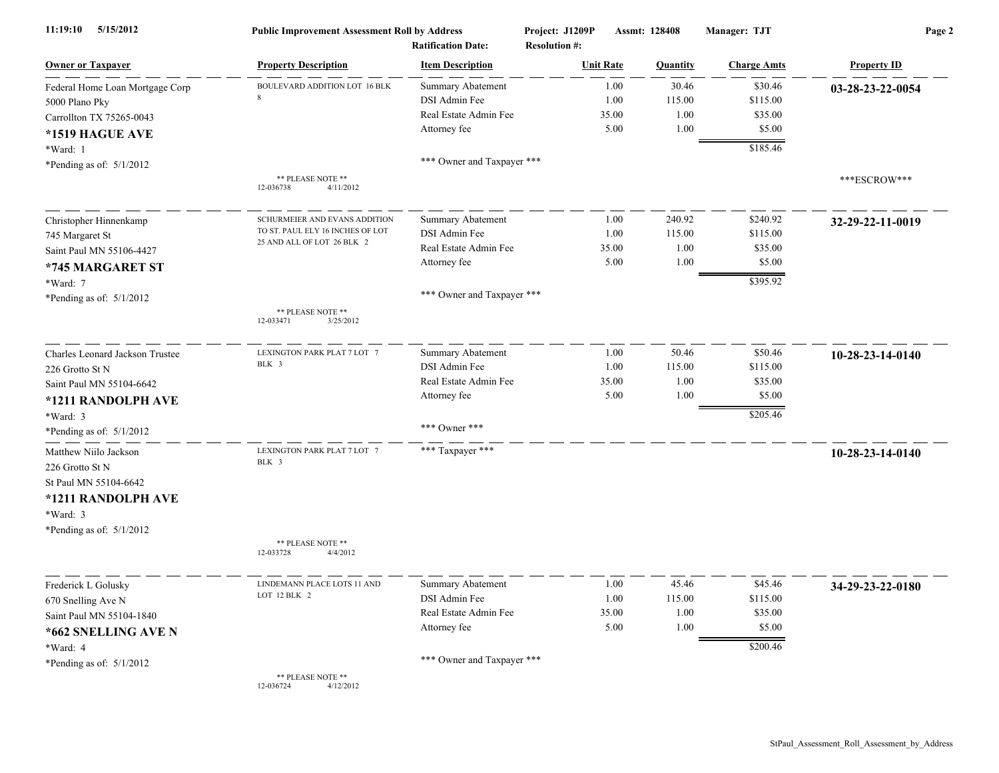| 11:19:10<br>5/15/2012                    | <b>Public Improvement Assessment Roll by Address</b><br><b>Ratification Date:</b> |                            | Project: J1209P<br>Assmt: 128408<br><b>Resolution #:</b> |          | Manager: TJT       | Page 2             |  |
|------------------------------------------|-----------------------------------------------------------------------------------|----------------------------|----------------------------------------------------------|----------|--------------------|--------------------|--|
| <b>Owner or Taxpayer</b>                 | <b>Property Description</b>                                                       | <b>Item Description</b>    | <b>Unit Rate</b>                                         | Quantity | <b>Charge Amts</b> | <b>Property ID</b> |  |
| Federal Home Loan Mortgage Corp          | <b>BOULEVARD ADDITION LOT 16 BLK</b>                                              | <b>Summary Abatement</b>   | 1.00                                                     | 30.46    | \$30.46            | 03-28-23-22-0054   |  |
| 5000 Plano Pky                           |                                                                                   | DSI Admin Fee              | 1.00                                                     | 115.00   | \$115.00           |                    |  |
| Carrollton TX 75265-0043                 |                                                                                   | Real Estate Admin Fee      | 35.00                                                    | 1.00     | \$35.00            |                    |  |
| *1519 HAGUE AVE                          |                                                                                   | Attorney fee               | 5.00                                                     | 1.00     | \$5.00             |                    |  |
| *Ward: 1                                 |                                                                                   |                            |                                                          |          | \$185.46           |                    |  |
| *Pending as of: $5/1/2012$               |                                                                                   |                            |                                                          |          |                    |                    |  |
|                                          | ** PLEASE NOTE **<br>12-036738<br>4/11/2012                                       |                            |                                                          |          |                    | ***ESCROW***       |  |
| Christopher Hinnenkamp                   | SCHURMEIER AND EVANS ADDITION                                                     | Summary Abatement          | 1.00                                                     | 240.92   | \$240.92           | 32-29-22-11-0019   |  |
| 745 Margaret St                          | TO ST. PAUL ELY 16 INCHES OF LOT                                                  | DSI Admin Fee              | 1.00                                                     | 115.00   | \$115.00           |                    |  |
| Saint Paul MN 55106-4427                 | 25 AND ALL OF LOT 26 BLK 2                                                        | Real Estate Admin Fee      | 35.00                                                    | 1.00     | \$35.00            |                    |  |
| *745 MARGARET ST                         |                                                                                   | Attorney fee               | 5.00                                                     | 1.00     | \$5.00             |                    |  |
| *Ward: 7                                 |                                                                                   |                            |                                                          |          | \$395.92           |                    |  |
| *Pending as of: $5/1/2012$               |                                                                                   | *** Owner and Taxpayer *** |                                                          |          |                    |                    |  |
|                                          | ** PLEASE NOTE **<br>3/25/2012<br>12-033471                                       |                            |                                                          |          |                    |                    |  |
| Charles Leonard Jackson Trustee          | LEXINGTON PARK PLAT 7 LOT 7                                                       | Summary Abatement          | 1.00                                                     | 50.46    | \$50.46            | 10-28-23-14-0140   |  |
| 226 Grotto St N                          | BLK 3                                                                             | DSI Admin Fee              | 1.00                                                     | 115.00   | \$115.00           |                    |  |
| Saint Paul MN 55104-6642                 |                                                                                   | Real Estate Admin Fee      | 35.00                                                    | 1.00     | \$35.00            |                    |  |
| *1211 RANDOLPH AVE                       |                                                                                   | Attorney fee               | 5.00                                                     | 1.00     | \$5.00             |                    |  |
| *Ward: 3                                 |                                                                                   |                            |                                                          |          | \$205.46           |                    |  |
| *Pending as of: $5/1/2012$               |                                                                                   | *** Owner ***              |                                                          |          |                    |                    |  |
| Matthew Niilo Jackson<br>226 Grotto St N | LEXINGTON PARK PLAT 7 LOT 7<br>BLK 3                                              | *** Taxpayer ***           |                                                          |          |                    | 10-28-23-14-0140   |  |
| St Paul MN 55104-6642                    |                                                                                   |                            |                                                          |          |                    |                    |  |
| *1211 RANDOLPH AVE                       |                                                                                   |                            |                                                          |          |                    |                    |  |
| *Ward: 3                                 |                                                                                   |                            |                                                          |          |                    |                    |  |
| *Pending as of: $5/1/2012$               |                                                                                   |                            |                                                          |          |                    |                    |  |
|                                          | ** PLEASE NOTE **<br>12-033728<br>4/4/2012                                        |                            |                                                          |          |                    |                    |  |
| Frederick L Golusky                      | LINDEMANN PLACE LOTS 11 AND                                                       | Summary Abatement          | 1.00                                                     | 45.46    | \$45.46            | 34-29-23-22-0180   |  |
| 670 Snelling Ave N                       | LOT $12$ BLK $\,$ 2                                                               | DSI Admin Fee              | 1.00                                                     | 115.00   | \$115.00           |                    |  |
| Saint Paul MN 55104-1840                 |                                                                                   | Real Estate Admin Fee      | 35.00                                                    | 1.00     | \$35.00            |                    |  |
| *662 SNELLING AVE N                      |                                                                                   | Attorney fee               | 5.00                                                     | 1.00     | \$5.00             |                    |  |
| *Ward: 4                                 |                                                                                   |                            |                                                          |          | \$200.46           |                    |  |
| *Pending as of: $5/1/2012$               |                                                                                   | *** Owner and Taxpayer *** |                                                          |          |                    |                    |  |
|                                          | ** PLEASE NOTE **<br>4/12/2012<br>12-036724                                       |                            |                                                          |          |                    |                    |  |